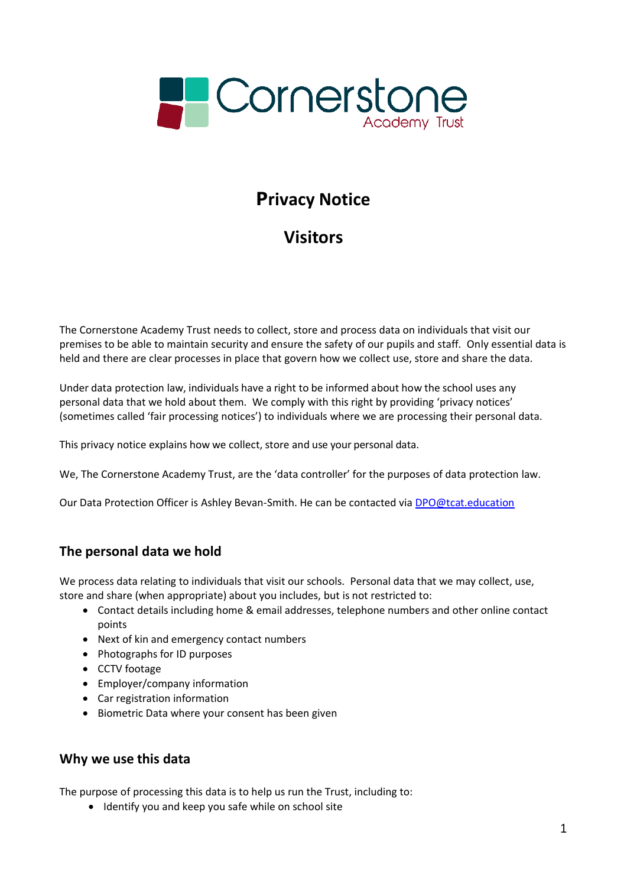

# **Privacy Notice**

# **Visitors**

The Cornerstone Academy Trust needs to collect, store and process data on individuals that visit our premises to be able to maintain security and ensure the safety of our pupils and staff. Only essential data is held and there are clear processes in place that govern how we collect use, store and share the data.

Under data protection law, individuals have a right to be informed about how the school uses any personal data that we hold about them. We comply with this right by providing 'privacy notices' (sometimes called 'fair processing notices') to individuals where we are processing their personal data.

This privacy notice explains how we collect, store and use your personal data.

We, The Cornerstone Academy Trust, are the 'data controller' for the purposes of data protection law.

Our Data Protection Officer is Ashley Bevan-Smith. He can be contacted via [DPO@tcat.education](mailto:DPO@tcat.education)

# **The personal data we hold**

We process data relating to individuals that visit our schools. Personal data that we may collect, use, store and share (when appropriate) about you includes, but is not restricted to:

- Contact details including home & email addresses, telephone numbers and other online contact points
- Next of kin and emergency contact numbers
- Photographs for ID purposes
- CCTV footage
- Employer/company information
- Car registration information
- Biometric Data where your consent has been given

#### **Why we use this data**

The purpose of processing this data is to help us run the Trust, including to:

• Identify you and keep you safe while on school site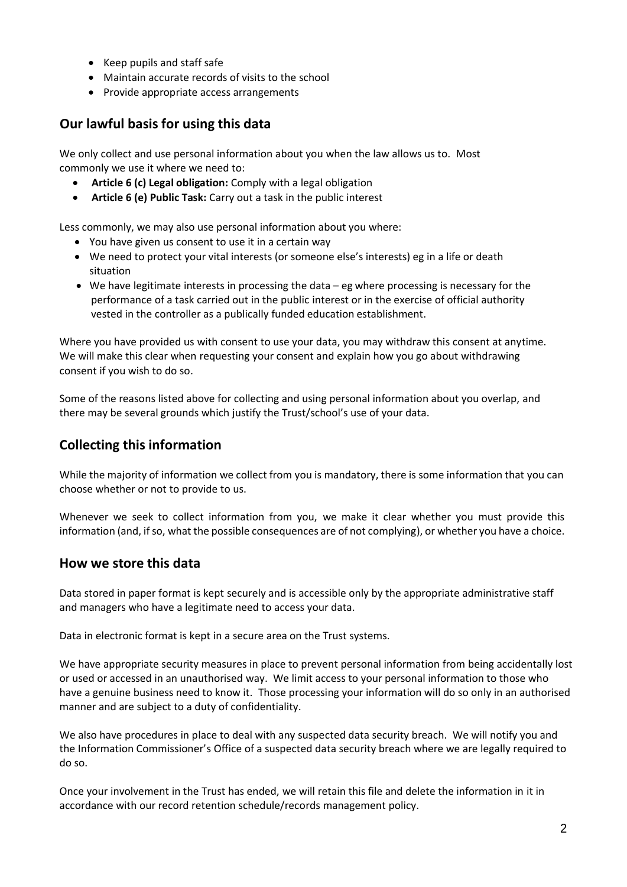- Keep pupils and staff safe
- Maintain accurate records of visits to the school
- Provide appropriate access arrangements

# **Our lawful basis for using this data**

We only collect and use personal information about you when the law allows us to. Most commonly we use it where we need to:

- **Article 6 (c) Legal obligation:** Comply with a legal obligation
- **Article 6 (e) Public Task:** Carry out a task in the public interest

Less commonly, we may also use personal information about you where:

- You have given us consent to use it in a certain way
- We need to protect your vital interests (or someone else's interests) eg in a life or death situation
- We have legitimate interests in processing the data eg where processing is necessary for the performance of a task carried out in the public interest or in the exercise of official authority vested in the controller as a publically funded education establishment.

Where you have provided us with consent to use your data, you may withdraw this consent at anytime. We will make this clear when requesting your consent and explain how you go about withdrawing consent if you wish to do so.

Some of the reasons listed above for collecting and using personal information about you overlap, and there may be several grounds which justify the Trust/school's use of your data.

# **Collecting this information**

While the majority of information we collect from you is mandatory, there is some information that you can choose whether or not to provide to us.

Whenever we seek to collect information from you, we make it clear whether you must provide this information (and, if so, what the possible consequences are of not complying), or whether you have a choice.

# **How we store this data**

Data stored in paper format is kept securely and is accessible only by the appropriate administrative staff and managers who have a legitimate need to access your data.

Data in electronic format is kept in a secure area on the Trust systems.

We have appropriate security measures in place to prevent personal information from being accidentally lost or used or accessed in an unauthorised way. We limit access to your personal information to those who have a genuine business need to know it. Those processing your information will do so only in an authorised manner and are subject to a duty of confidentiality.

We also have procedures in place to deal with any suspected data security breach. We will notify you and the Information Commissioner's Office of a suspected data security breach where we are legally required to do so.

Once your involvement in the Trust has ended, we will retain this file and delete the information in it in accordance with our record retention schedule/records management policy.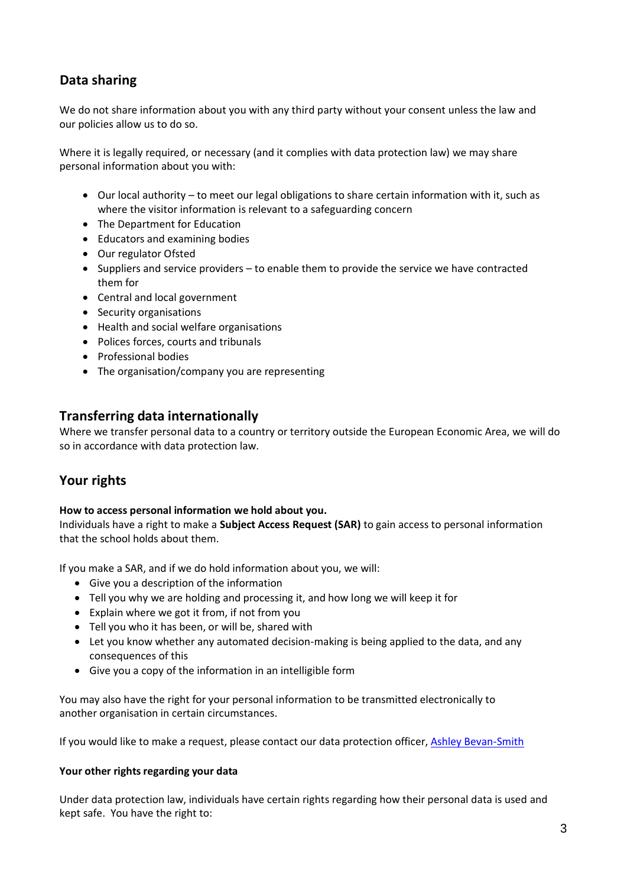# **Data sharing**

We do not share information about you with any third party without your consent unless the law and our policies allow us to do so.

Where it is legally required, or necessary (and it complies with data protection law) we may share personal information about you with:

- Our local authority to meet our legal obligations to share certain information with it, such as where the visitor information is relevant to a safeguarding concern
- The Department for Education
- Educators and examining bodies
- Our regulator Ofsted
- Suppliers and service providers to enable them to provide the service we have contracted them for
- Central and local government
- Security organisations
- Health and social welfare organisations
- Polices forces, courts and tribunals
- Professional bodies
- The organisation/company you are representing

# **Transferring data internationally**

Where we transfer personal data to a country or territory outside the European Economic Area, we will do so in accordance with data protection law.

# **Your rights**

#### **How to access personal information we hold about you.**

Individuals have a right to make a **Subject Access Request (SAR)** to gain access to personal information that the school holds about them.

If you make a SAR, and if we do hold information about you, we will:

- Give you a description of the information
- Tell you why we are holding and processing it, and how long we will keep it for
- Explain where we got it from, if not from you
- Tell you who it has been, or will be, shared with
- Let you know whether any automated decision-making is being applied to the data, and any consequences of this
- Give you a copy of the information in an intelligible form

You may also have the right for your personal information to be transmitted electronically to another organisation in certain circumstances.

If you would like to make a request, please contact our data protection officer, [Ashley Bevan-Smith](mailto:DPO@tcat.education)

#### **Your** other rights regarding your data

Under data protection law, individuals have certain rights regarding how their personal data is used and kept safe. You have the right to: